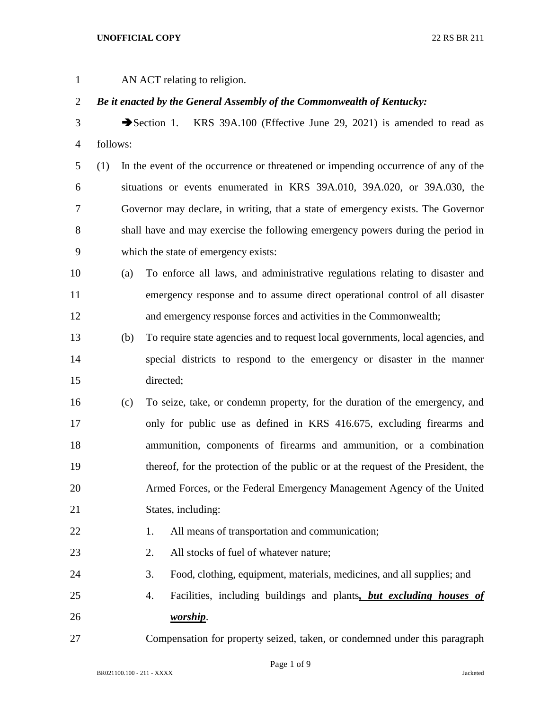AN ACT relating to religion.

## *Be it enacted by the General Assembly of the Commonwealth of Kentucky:*

3 Section 1. KRS 39A.100 (Effective June 29, 2021) is amended to read as follows:

 (1) In the event of the occurrence or threatened or impending occurrence of any of the situations or events enumerated in KRS 39A.010, 39A.020, or 39A.030, the Governor may declare, in writing, that a state of emergency exists. The Governor shall have and may exercise the following emergency powers during the period in which the state of emergency exists:

- (a) To enforce all laws, and administrative regulations relating to disaster and emergency response and to assume direct operational control of all disaster and emergency response forces and activities in the Commonwealth;
- (b) To require state agencies and to request local governments, local agencies, and special districts to respond to the emergency or disaster in the manner directed;
- (c) To seize, take, or condemn property, for the duration of the emergency, and only for public use as defined in KRS 416.675, excluding firearms and ammunition, components of firearms and ammunition, or a combination thereof, for the protection of the public or at the request of the President, the Armed Forces, or the Federal Emergency Management Agency of the United States, including:
- 22 1. All means of transportation and communication;
- 23 2. All stocks of fuel of whatever nature:
- 3. Food, clothing, equipment, materials, medicines, and all supplies; and
- 4. Facilities, including buildings and plants*, but excluding houses of worship*.
- Compensation for property seized, taken, or condemned under this paragraph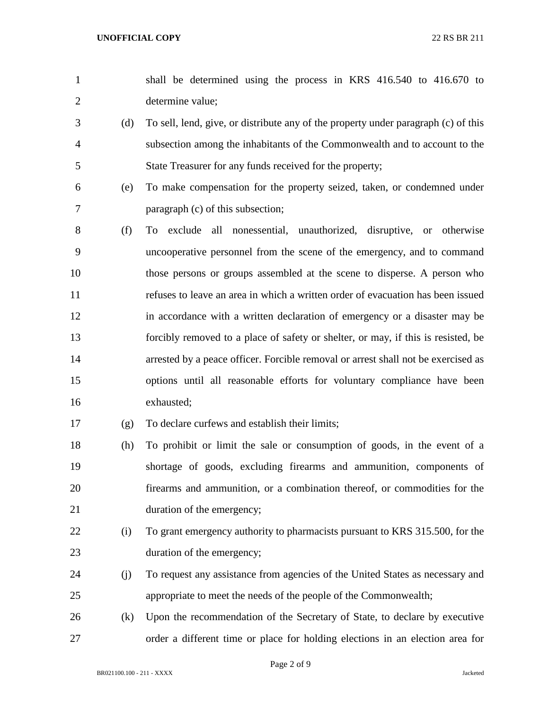- shall be determined using the process in KRS 416.540 to 416.670 to determine value;
- (d) To sell, lend, give, or distribute any of the property under paragraph (c) of this subsection among the inhabitants of the Commonwealth and to account to the State Treasurer for any funds received for the property;
- (e) To make compensation for the property seized, taken, or condemned under paragraph (c) of this subsection;
- (f) To exclude all nonessential, unauthorized, disruptive, or otherwise uncooperative personnel from the scene of the emergency, and to command those persons or groups assembled at the scene to disperse. A person who refuses to leave an area in which a written order of evacuation has been issued in accordance with a written declaration of emergency or a disaster may be forcibly removed to a place of safety or shelter, or may, if this is resisted, be arrested by a peace officer. Forcible removal or arrest shall not be exercised as options until all reasonable efforts for voluntary compliance have been exhausted;
- (g) To declare curfews and establish their limits;
- (h) To prohibit or limit the sale or consumption of goods, in the event of a shortage of goods, excluding firearms and ammunition, components of firearms and ammunition, or a combination thereof, or commodities for the duration of the emergency;
- (i) To grant emergency authority to pharmacists pursuant to KRS 315.500, for the duration of the emergency;
- (j) To request any assistance from agencies of the United States as necessary and appropriate to meet the needs of the people of the Commonwealth;
- (k) Upon the recommendation of the Secretary of State, to declare by executive order a different time or place for holding elections in an election area for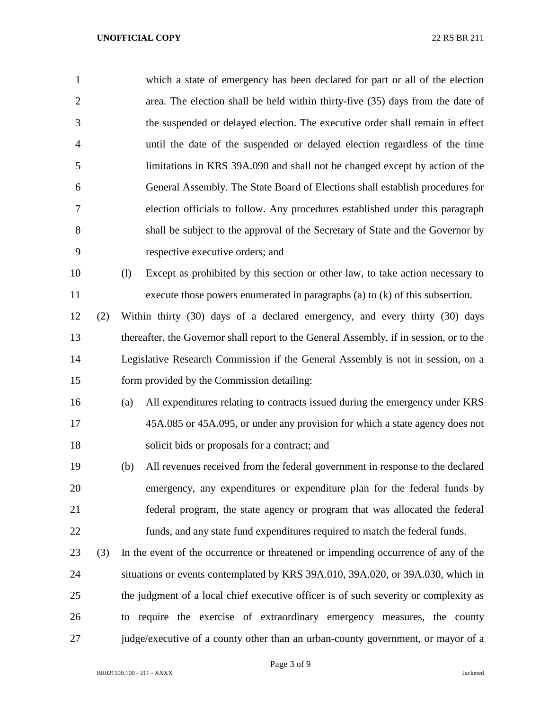| $\mathbf{1}$   |     | which a state of emergency has been declared for part or all of the election            |
|----------------|-----|-----------------------------------------------------------------------------------------|
| $\overline{2}$ |     | area. The election shall be held within thirty-five (35) days from the date of          |
| 3              |     | the suspended or delayed election. The executive order shall remain in effect           |
| $\overline{4}$ |     | until the date of the suspended or delayed election regardless of the time              |
| 5              |     | limitations in KRS 39A.090 and shall not be changed except by action of the             |
| 6              |     | General Assembly. The State Board of Elections shall establish procedures for           |
| $\tau$         |     | election officials to follow. Any procedures established under this paragraph           |
| $8\,$          |     | shall be subject to the approval of the Secretary of State and the Governor by          |
| 9              |     | respective executive orders; and                                                        |
| 10             |     | Except as prohibited by this section or other law, to take action necessary to<br>(1)   |
| 11             |     | execute those powers enumerated in paragraphs (a) to $(k)$ of this subsection.          |
| 12             | (2) | Within thirty (30) days of a declared emergency, and every thirty (30) days             |
| 13             |     | thereafter, the Governor shall report to the General Assembly, if in session, or to the |
| 14             |     | Legislative Research Commission if the General Assembly is not in session, on a         |
| 15             |     | form provided by the Commission detailing:                                              |
| 16             |     | All expenditures relating to contracts issued during the emergency under KRS<br>(a)     |
| 17             |     | 45A.085 or 45A.095, or under any provision for which a state agency does not            |
| 18             |     | solicit bids or proposals for a contract; and                                           |
| 19             |     | All revenues received from the federal government in response to the declared<br>(b)    |
| 20             |     | emergency, any expenditures or expenditure plan for the federal funds by                |
| 21             |     | federal program, the state agency or program that was allocated the federal             |
| 22             |     | funds, and any state fund expenditures required to match the federal funds.             |
| 23             | (3) | In the event of the occurrence or threatened or impending occurrence of any of the      |
| 24             |     | situations or events contemplated by KRS 39A.010, 39A.020, or 39A.030, which in         |
| 25             |     | the judgment of a local chief executive officer is of such severity or complexity as    |
| 26             |     | to require the exercise of extraordinary emergency measures, the county                 |
| 27             |     | judge/executive of a county other than an urban-county government, or mayor of a        |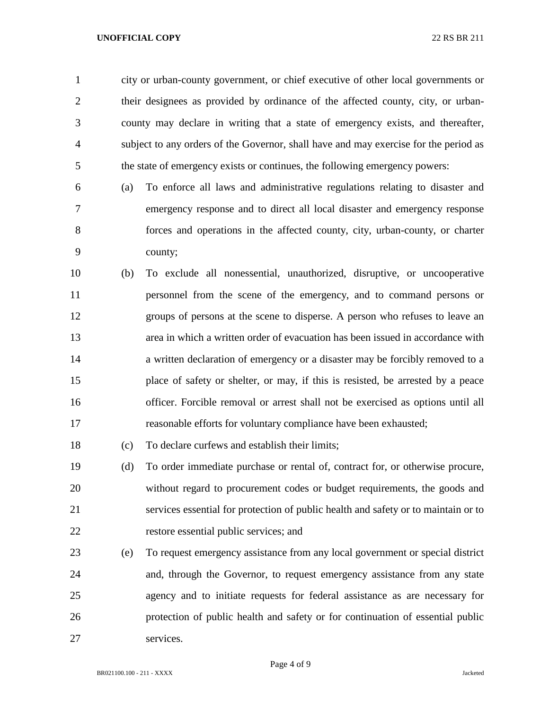## **UNOFFICIAL COPY** 22 RS BR 211

 city or urban-county government, or chief executive of other local governments or their designees as provided by ordinance of the affected county, city, or urban- county may declare in writing that a state of emergency exists, and thereafter, subject to any orders of the Governor, shall have and may exercise for the period as the state of emergency exists or continues, the following emergency powers:

- (a) To enforce all laws and administrative regulations relating to disaster and emergency response and to direct all local disaster and emergency response forces and operations in the affected county, city, urban-county, or charter county;
- (b) To exclude all nonessential, unauthorized, disruptive, or uncooperative personnel from the scene of the emergency, and to command persons or groups of persons at the scene to disperse. A person who refuses to leave an area in which a written order of evacuation has been issued in accordance with a written declaration of emergency or a disaster may be forcibly removed to a place of safety or shelter, or may, if this is resisted, be arrested by a peace officer. Forcible removal or arrest shall not be exercised as options until all reasonable efforts for voluntary compliance have been exhausted;

(c) To declare curfews and establish their limits;

 (d) To order immediate purchase or rental of, contract for, or otherwise procure, without regard to procurement codes or budget requirements, the goods and services essential for protection of public health and safety or to maintain or to restore essential public services; and

 (e) To request emergency assistance from any local government or special district and, through the Governor, to request emergency assistance from any state agency and to initiate requests for federal assistance as are necessary for protection of public health and safety or for continuation of essential public services.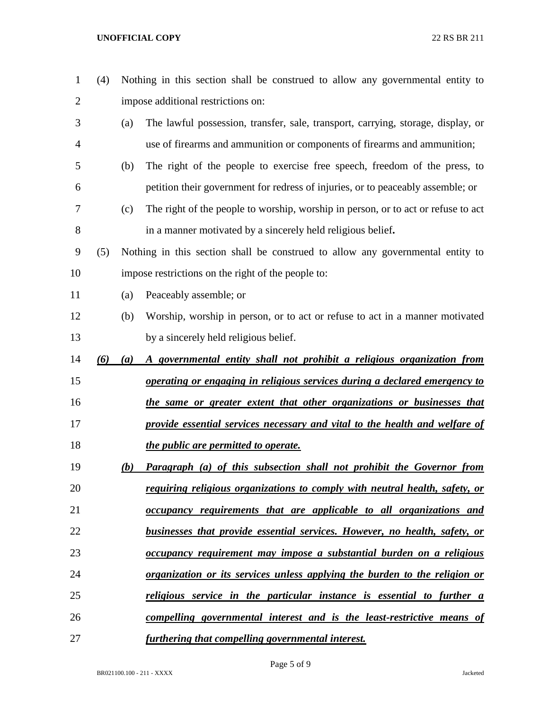## **UNOFFICIAL COPY** 22 RS BR 211

| $\mathbf{1}$   | (4) |     | Nothing in this section shall be construed to allow any governmental entity to     |
|----------------|-----|-----|------------------------------------------------------------------------------------|
| $\overline{2}$ |     |     | impose additional restrictions on:                                                 |
| 3              |     | (a) | The lawful possession, transfer, sale, transport, carrying, storage, display, or   |
| 4              |     |     | use of firearms and ammunition or components of firearms and ammunition;           |
| 5              |     | (b) | The right of the people to exercise free speech, freedom of the press, to          |
| 6              |     |     | petition their government for redress of injuries, or to peaceably assemble; or    |
| 7              |     | (c) | The right of the people to worship, worship in person, or to act or refuse to act  |
| 8              |     |     | in a manner motivated by a sincerely held religious belief.                        |
| 9              | (5) |     | Nothing in this section shall be construed to allow any governmental entity to     |
| 10             |     |     | impose restrictions on the right of the people to:                                 |
| 11             |     | (a) | Peaceably assemble; or                                                             |
| 12             |     | (b) | Worship, worship in person, or to act or refuse to act in a manner motivated       |
| 13             |     |     | by a sincerely held religious belief.                                              |
| 14             | (6) | (a) | A governmental entity shall not prohibit a religious organization from             |
| 15             |     |     | operating or engaging in religious services during a declared emergency to         |
| 16             |     |     | the same or greater extent that other organizations or businesses that             |
| 17             |     |     | provide essential services necessary and vital to the health and welfare of        |
| 18             |     |     | the public are permitted to operate.                                               |
| 19             |     | (b) | Paragraph (a) of this subsection shall not prohibit the Governor from              |
| 20             |     |     | <i>requiring religious organizations to comply with neutral health, safety, or</i> |
| 21             |     |     | occupancy requirements that are applicable to all organizations and                |
| 22             |     |     | businesses that provide essential services. However, no health, safety, or         |
| 23             |     |     | occupancy requirement may impose a substantial burden on a religious               |
| 24             |     |     | organization or its services unless applying the burden to the religion or         |
| 25             |     |     | religious service in the particular instance is essential to further a             |
| 26             |     |     | compelling governmental interest and is the least-restrictive means of             |
| 27             |     |     | furthering that compelling governmental interest.                                  |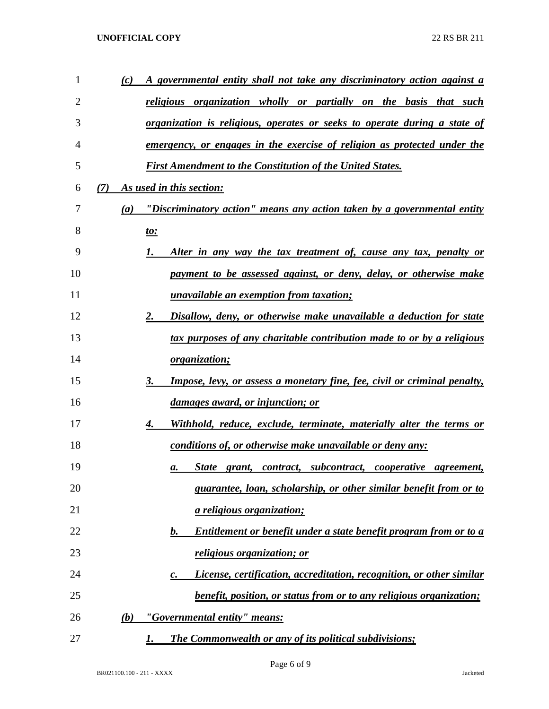| 1              | (c) | A governmental entity shall not take any discriminatory action against a              |
|----------------|-----|---------------------------------------------------------------------------------------|
| $\overline{2}$ |     | religious organization wholly or partially on the basis that such                     |
| 3              |     | <u>organization is religious, operates or seeks to operate during a state of</u>      |
| 4              |     | <u>emergency, or engages in the exercise of religion as protected under the</u>       |
| 5              |     | <b>First Amendment to the Constitution of the United States.</b>                      |
| 6              | (7) | As used in this section:                                                              |
| 7              | (a) | "Discriminatory action" means any action taken by a governmental entity               |
| 8              |     | <u>to:</u>                                                                            |
| 9              |     | 1.<br>Alter in any way the tax treatment of, cause any tax, penalty or                |
| 10             |     | payment to be assessed against, or deny, delay, or otherwise make                     |
| 11             |     | <i><u><b>unavailable an exemption from taxation;</b></u></i>                          |
| 12             |     | Disallow, deny, or otherwise make unavailable a deduction for state<br>2.             |
| 13             |     | tax purposes of any charitable contribution made to or by a religious                 |
| 14             |     | <i>organization;</i>                                                                  |
| 15             |     | 3.<br><b>Impose, levy, or assess a monetary fine, fee, civil or criminal penalty,</b> |
| 16             |     | damages award, or injunction; or                                                      |
| 17             |     | 4.<br><u>Withhold, reduce, exclude, terminate, materially alter the terms or</u>      |
| 18             |     | <u>conditions of, or otherwise make unavailable or deny any:</u>                      |
| 19             |     | State grant, contract, subcontract, cooperative agreement,<br>а.                      |
| 20             |     | guarantee, loan, scholarship, or other similar benefit from or to                     |
| 21             |     | <u>a religious organization;</u>                                                      |
| 22             |     | <u>Entitlement or benefit under a state benefit program from or to a</u><br>b.        |
| 23             |     | religious organization; or                                                            |
| 24             |     | <i>License, certification, accreditation, recognition, or other similar</i><br>c.     |
| 25             |     | <i>benefit, position, or status from or to any religious organization;</i>            |
| 26             | (b) | "Governmental entity" means:                                                          |
| 27             |     | <b>The Commonwealth or any of its political subdivisions;</b><br>1.                   |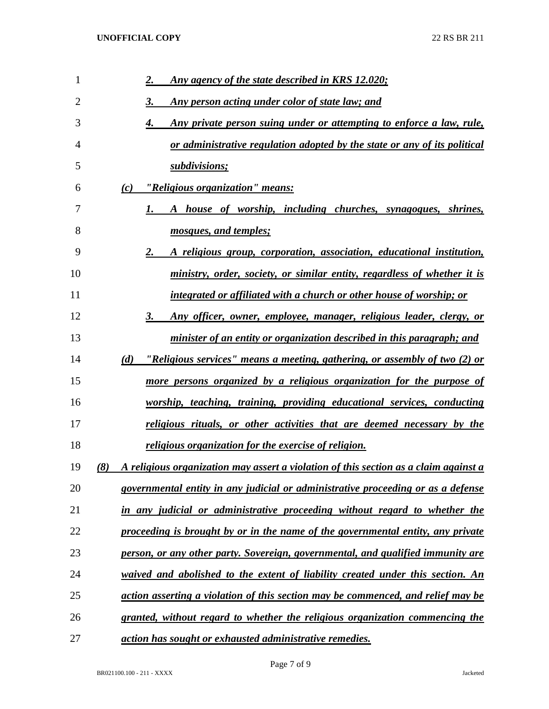| 1  | Any agency of the state described in KRS 12.020;<br>2.                                      |
|----|---------------------------------------------------------------------------------------------|
| 2  | Any person acting under color of state law; and<br>3.                                       |
| 3  | Any private person suing under or attempting to enforce a law, rule,<br>4.                  |
| 4  | or administrative regulation adopted by the state or any of its political                   |
| 5  | subdivisions;                                                                               |
| 6  | <u>"Religious organization" means:</u><br>(c)                                               |
| 7  | A house of worship, including churches, synagogues, shrines,                                |
| 8  | mosques, and temples;                                                                       |
| 9  | A religious group, corporation, association, educational institution,<br>2.                 |
| 10 | <u>ministry, order, society, or similar entity, regardless of whether it is</u>             |
| 11 | integrated or affiliated with a church or other house of worship; or                        |
| 12 | <u>Any officer, owner, employee, manager, religious leader, clergy, or</u><br>3.            |
| 13 | minister of an entity or organization described in this paragraph; and                      |
| 14 | "Religious services" means a meeting, gathering, or assembly of two (2) or<br>(d)           |
| 15 | more persons organized by a religious organization for the purpose of                       |
| 16 | worship, teaching, training, providing educational services, conducting                     |
| 17 | <u>religious rituals, or other activities that are deemed necessary by the</u>              |
| 18 | religious organization for the exercise of religion.                                        |
| 19 | A religious organization may assert a violation of this section as a claim against a<br>(8) |
| 20 | governmental entity in any judicial or administrative proceeding or as a defense            |
| 21 | in any judicial or administrative proceeding without regard to whether the                  |
| 22 | proceeding is brought by or in the name of the governmental entity, any private             |
| 23 | person, or any other party. Sovereign, governmental, and qualified immunity are             |
| 24 | waived and abolished to the extent of liability created under this section. An              |
| 25 | action asserting a violation of this section may be commenced, and relief may be            |
| 26 | granted, without regard to whether the religious organization commencing the                |
| 27 | action has sought or exhausted administrative remedies.                                     |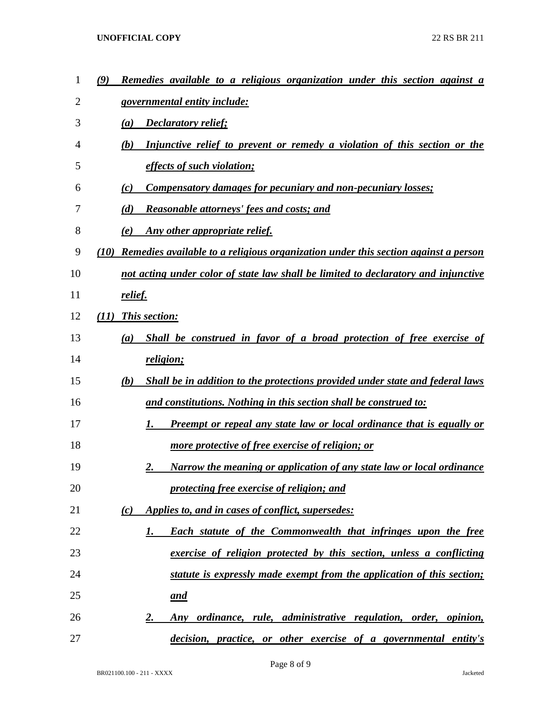## **UNOFFICIAL COPY** 22 RS BR 211

| 1  | Remedies available to a religious organization under this section against a<br>(9)         |
|----|--------------------------------------------------------------------------------------------|
| 2  | <u>governmental entity include:</u>                                                        |
| 3  | <b>Declaratory relief;</b><br>(a)                                                          |
| 4  | Injunctive relief to prevent or remedy a violation of this section or the<br>(b)           |
| 5  | effects of such violation;                                                                 |
| 6  | Compensatory damages for pecuniary and non-pecuniary losses;<br>$\left( c\right)$          |
| 7  | <b>Reasonable attorneys' fees and costs; and</b><br>(d)                                    |
| 8  | Any other appropriate relief.<br>(e)                                                       |
| 9  | Remedies available to a religious organization under this section against a person<br>(10) |
| 10 | not acting under color of state law shall be limited to declaratory and injunctive         |
| 11 | relief.                                                                                    |
| 12 | <b>This section:</b><br>(11)                                                               |
| 13 | Shall be construed in favor of a broad protection of free exercise of<br>(a)               |
| 14 | religion;                                                                                  |
| 15 | Shall be in addition to the protections provided under state and federal laws<br>(b)       |
| 16 | and constitutions. Nothing in this section shall be construed to:                          |
| 17 | <b>Preempt or repeal any state law or local ordinance that is equally or</b><br>1.         |
| 18 | more protective of free exercise of religion; or                                           |
| 19 | <u>Narrow the meaning or application of any state law or local ordinance</u><br>2.         |
| 20 | protecting free exercise of religion; and                                                  |
| 21 | Applies to, and in cases of conflict, supersedes:<br>(c)                                   |
| 22 | <b>Each statute of the Commonwealth that infringes upon the free</b><br>1.                 |
| 23 | exercise of religion protected by this section, unless a conflicting                       |
| 24 | statute is expressly made exempt from the application of this section;                     |
| 25 | <u>and</u>                                                                                 |
| 26 | Any ordinance, rule, administrative regulation, order, opinion,<br><u>2.</u>               |
| 27 | decision, practice, or other exercise of a governmental entity's                           |